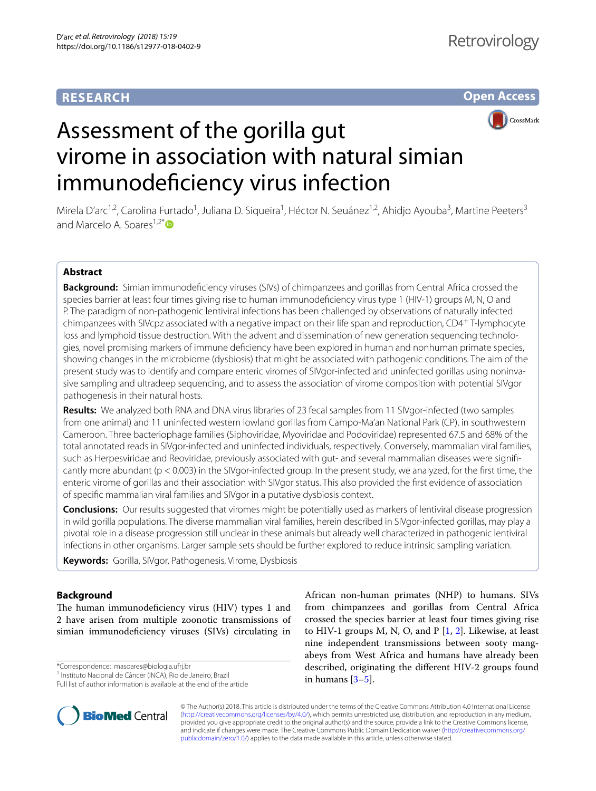## **RESEARCH**

# **Open Access**



# Assessment of the gorilla gut virome in association with natural simian immunodefciency virus infection

Mirela D'arc<sup>1,2</sup>, Carolina Furtado<sup>1</sup>, Juliana D. Siqueira<sup>1</sup>, Héctor N. Seuánez<sup>1,2</sup>, Ahidjo Ayouba<sup>3</sup>, Martine Peeters<sup>3</sup> and Marcelo A. Soares<sup>1,2[\\*](http://orcid.org/0000-0002-9013-2570)</sup>

## **Abstract**

**Background:** Simian immunodefciency viruses (SIVs) of chimpanzees and gorillas from Central Africa crossed the species barrier at least four times giving rise to human immunodefciency virus type 1 (HIV-1) groups M, N, O and P. The paradigm of non-pathogenic lentiviral infections has been challenged by observations of naturally infected chimpanzees with SIVcpz associated with a negative impact on their life span and reproduction, CD4+ T-lymphocyte loss and lymphoid tissue destruction. With the advent and dissemination of new generation sequencing technologies, novel promising markers of immune defciency have been explored in human and nonhuman primate species, showing changes in the microbiome (dysbiosis) that might be associated with pathogenic conditions. The aim of the present study was to identify and compare enteric viromes of SIVgor-infected and uninfected gorillas using noninvasive sampling and ultradeep sequencing, and to assess the association of virome composition with potential SIVgor pathogenesis in their natural hosts.

**Results:** We analyzed both RNA and DNA virus libraries of 23 fecal samples from 11 SIVgor-infected (two samples from one animal) and 11 uninfected western lowland gorillas from Campo-Ma'an National Park (CP), in southwestern Cameroon. Three bacteriophage families (Siphoviridae, Myoviridae and Podoviridae) represented 67.5 and 68% of the total annotated reads in SIVgor-infected and uninfected individuals, respectively. Conversely, mammalian viral families, such as Herpesviridae and Reoviridae, previously associated with gut- and several mammalian diseases were signifcantly more abundant (p < 0.003) in the SIVgor-infected group. In the present study, we analyzed, for the frst time, the enteric virome of gorillas and their association with SIVgor status. This also provided the frst evidence of association of specifc mammalian viral families and SIVgor in a putative dysbiosis context.

**Conclusions:** Our results suggested that viromes might be potentially used as markers of lentiviral disease progression in wild gorilla populations. The diverse mammalian viral families, herein described in SIVgor-infected gorillas, may play a pivotal role in a disease progression still unclear in these animals but already well characterized in pathogenic lentiviral infections in other organisms. Larger sample sets should be further explored to reduce intrinsic sampling variation.

**Keywords:** Gorilla, SIVgor, Pathogenesis, Virome, Dysbiosis

## **Background**

The human immunodeficiency virus (HIV) types 1 and 2 have arisen from multiple zoonotic transmissions of simian immunodefciency viruses (SIVs) circulating in

\*Correspondence: masoares@biologia.ufrj.br

Full list of author information is available at the end of the article



African non-human primates (NHP) to humans. SIVs from chimpanzees and gorillas from Central Africa crossed the species barrier at least four times giving rise to HIV-1 groups M, N, O, and  $P$  [\[1](#page-6-0), [2](#page-6-1)]. Likewise, at least nine independent transmissions between sooty mangabeys from West Africa and humans have already been described, originating the diferent HIV-2 groups found in humans  $[3-5]$  $[3-5]$ .

© The Author(s) 2018. This article is distributed under the terms of the Creative Commons Attribution 4.0 International License [\(http://creativecommons.org/licenses/by/4.0/\)](http://creativecommons.org/licenses/by/4.0/), which permits unrestricted use, distribution, and reproduction in any medium, provided you give appropriate credit to the original author(s) and the source, provide a link to the Creative Commons license, and indicate if changes were made. The Creative Commons Public Domain Dedication waiver ([http://creativecommons.org/](http://creativecommons.org/publicdomain/zero/1.0/) [publicdomain/zero/1.0/](http://creativecommons.org/publicdomain/zero/1.0/)) applies to the data made available in this article, unless otherwise stated.

<sup>&</sup>lt;sup>1</sup> Instituto Nacional de Câncer (INCA), Rio de Janeiro, Brazil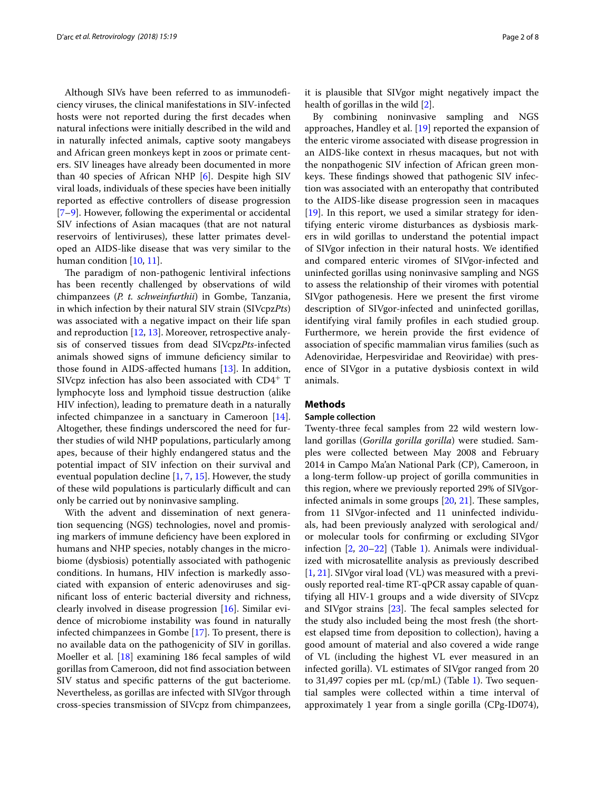Although SIVs have been referred to as immunodefciency viruses, the clinical manifestations in SIV-infected hosts were not reported during the frst decades when natural infections were initially described in the wild and in naturally infected animals, captive sooty mangabeys and African green monkeys kept in zoos or primate centers. SIV lineages have already been documented in more than 40 species of African NHP [[6\]](#page-6-4). Despite high SIV viral loads, individuals of these species have been initially reported as efective controllers of disease progression [[7–](#page-6-5)[9\]](#page-6-6). However, following the experimental or accidental SIV infections of Asian macaques (that are not natural reservoirs of lentiviruses), these latter primates developed an AIDS-like disease that was very similar to the human condition [[10](#page-7-0), [11\]](#page-7-1).

The paradigm of non-pathogenic lentiviral infections has been recently challenged by observations of wild chimpanzees (*P. t. schweinfurthii*) in Gombe, Tanzania, in which infection by their natural SIV strain (SIVcpz*Pts*) was associated with a negative impact on their life span and reproduction [[12](#page-7-2), [13\]](#page-7-3). Moreover, retrospective analysis of conserved tissues from dead SIVcpz*Pts*-infected animals showed signs of immune defciency similar to those found in AIDS-afected humans [\[13\]](#page-7-3). In addition, SIVcpz infection has also been associated with  $CD4^+$  T lymphocyte loss and lymphoid tissue destruction (alike HIV infection), leading to premature death in a naturally infected chimpanzee in a sanctuary in Cameroon [\[14](#page-7-4)]. Altogether, these fndings underscored the need for further studies of wild NHP populations, particularly among apes, because of their highly endangered status and the potential impact of SIV infection on their survival and eventual population decline [[1](#page-6-0), [7,](#page-6-5) [15](#page-7-5)]. However, the study of these wild populations is particularly difficult and can only be carried out by noninvasive sampling.

With the advent and dissemination of next generation sequencing (NGS) technologies, novel and promising markers of immune defciency have been explored in humans and NHP species, notably changes in the microbiome (dysbiosis) potentially associated with pathogenic conditions. In humans, HIV infection is markedly associated with expansion of enteric adenoviruses and signifcant loss of enteric bacterial diversity and richness, clearly involved in disease progression [[16](#page-7-6)]. Similar evidence of microbiome instability was found in naturally infected chimpanzees in Gombe [\[17](#page-7-7)]. To present, there is no available data on the pathogenicity of SIV in gorillas. Moeller et al. [\[18](#page-7-8)] examining 186 fecal samples of wild gorillas from Cameroon, did not fnd association between SIV status and specifc patterns of the gut bacteriome. Nevertheless, as gorillas are infected with SIVgor through cross-species transmission of SIVcpz from chimpanzees,

it is plausible that SIVgor might negatively impact the health of gorillas in the wild [[2\]](#page-6-1).

By combining noninvasive sampling and NGS approaches, Handley et al. [[19\]](#page-7-9) reported the expansion of the enteric virome associated with disease progression in an AIDS-like context in rhesus macaques, but not with the nonpathogenic SIV infection of African green monkeys. These findings showed that pathogenic SIV infection was associated with an enteropathy that contributed to the AIDS-like disease progression seen in macaques [[19\]](#page-7-9). In this report, we used a similar strategy for identifying enteric virome disturbances as dysbiosis markers in wild gorillas to understand the potential impact of SIVgor infection in their natural hosts. We identifed and compared enteric viromes of SIVgor-infected and uninfected gorillas using noninvasive sampling and NGS to assess the relationship of their viromes with potential SIVgor pathogenesis. Here we present the frst virome description of SIVgor-infected and uninfected gorillas, identifying viral family profles in each studied group. Furthermore, we herein provide the frst evidence of association of specifc mammalian virus families (such as Adenoviridae, Herpesviridae and Reoviridae) with presence of SIVgor in a putative dysbiosis context in wild animals.

#### **Methods**

#### **Sample collection**

Twenty-three fecal samples from 22 wild western lowland gorillas (*Gorilla gorilla gorilla*) were studied. Samples were collected between May 2008 and February 2014 in Campo Ma'an National Park (CP), Cameroon, in a long-term follow-up project of gorilla communities in this region, where we previously reported 29% of SIVgorinfected animals in some groups  $[20, 21]$  $[20, 21]$  $[20, 21]$ . These samples, from 11 SIVgor-infected and 11 uninfected individuals, had been previously analyzed with serological and/ or molecular tools for confrming or excluding SIVgor infection [[2,](#page-6-1) [20](#page-7-10)[–22](#page-7-12)] (Table [1\)](#page-2-0). Animals were individualized with microsatellite analysis as previously described [[1,](#page-6-0) [21](#page-7-11)]. SIVgor viral load (VL) was measured with a previously reported real-time RT-qPCR assay capable of quantifying all HIV-1 groups and a wide diversity of SIVcpz and SIVgor strains  $[23]$  $[23]$ . The fecal samples selected for the study also included being the most fresh (the shortest elapsed time from deposition to collection), having a good amount of material and also covered a wide range of VL (including the highest VL ever measured in an infected gorilla). VL estimates of SIVgor ranged from 20 to 31,497 copies per mL (cp/mL) (Table [1](#page-2-0)). Two sequential samples were collected within a time interval of approximately 1 year from a single gorilla (CPg-ID074),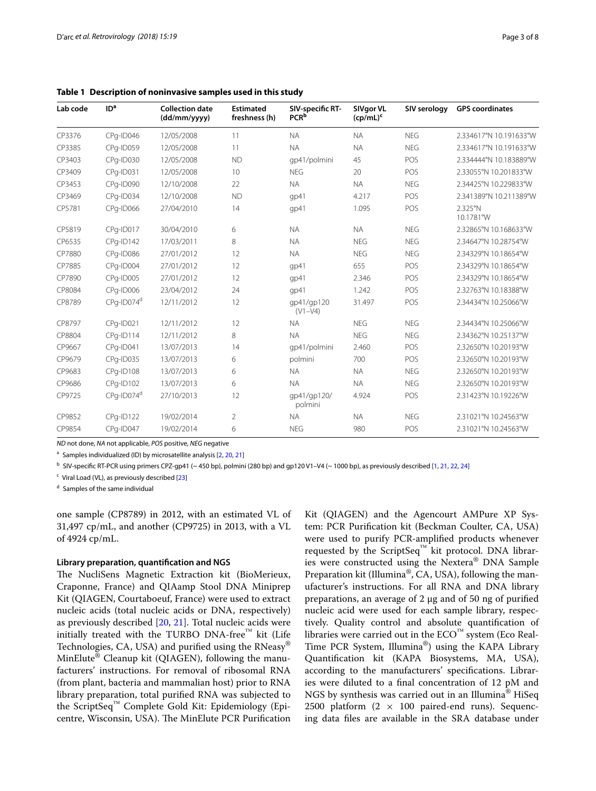| Lab code | ID <sup>a</sup>        | <b>Collection date</b><br>(dd/mm/yyyy) | <b>Estimated</b><br>freshness (h) | SIV-specific RT-<br><b>PCR</b> <sup>b</sup> | SIVgor VL<br>$(cp/mL)^c$ | SIV serology | <b>GPS</b> coordinates |
|----------|------------------------|----------------------------------------|-----------------------------------|---------------------------------------------|--------------------------|--------------|------------------------|
| CP3376   | CPg-ID046              | 12/05/2008                             | 11                                | <b>NA</b>                                   | <b>NA</b>                | <b>NEG</b>   | 2.334617°N 10.191633°W |
| CP3385   | CPg-ID059              | 12/05/2008                             | 11                                | <b>NA</b>                                   | <b>NA</b>                | <b>NEG</b>   | 2.334617°N 10.191633°W |
| CP3403   | CPg-ID030              | 12/05/2008                             | <b>ND</b>                         | qp41/polmini                                | 45                       | POS          | 2.334444°N 10.183889°W |
| CP3409   | CPq-ID031              | 12/05/2008                             | 10                                | <b>NEG</b>                                  | 20                       | POS          | 2.33055°N 10.201833°W  |
| CP3453   | CPg-ID090              | 12/10/2008                             | 22                                | <b>NA</b>                                   | <b>NA</b>                | <b>NEG</b>   | 2.34425°N 10.229833°W  |
| CP3469   | CPg-ID034              | 12/10/2008                             | <b>ND</b>                         | gp41                                        | 4.217                    | POS          | 2.341389°N 10.211389°W |
| CP5781   | CPg-ID066              | 27/04/2010                             | 14                                | qp41                                        | 1.095                    | POS          | 2.325°N<br>10.1781°W   |
| CP5819   | CPg-ID017              | 30/04/2010                             | 6                                 | <b>NA</b>                                   | <b>NA</b>                | <b>NEG</b>   | 2.32865°N 10.168633°W  |
| CP6535   | CPg-ID142              | 17/03/2011                             | 8                                 | <b>NA</b>                                   | <b>NEG</b>               | <b>NEG</b>   | 2.34647°N 10.28754°W   |
| CP7880   | CPg-ID086              | 27/01/2012                             | 12                                | <b>NA</b>                                   | <b>NEG</b>               | <b>NEG</b>   | 2.34329°N 10.18654°W   |
| CP7885   | CPg-ID004              | 27/01/2012                             | 12                                | gp41                                        | 655                      | POS          | 2.34329°N 10.18654°W   |
| CP7890   | CPg-ID005              | 27/01/2012                             | 12                                | qp41                                        | 2.346                    | POS          | 2.34329°N 10.18654°W   |
| CP8084   | CPg-ID006              | 23/04/2012                             | 24                                | qp41                                        | 1.242                    | POS          | 2.32763°N 10.18388°W   |
| CP8789   | CPa-ID074 <sup>d</sup> | 12/11/2012                             | 12                                | qp41/qp120<br>$(V1 - V4)$                   | 31.497                   | POS          | 2.34434°N 10.25066°W   |
| CP8797   | CPg-ID021              | 12/11/2012                             | 12                                | <b>NA</b>                                   | <b>NFG</b>               | <b>NFG</b>   | 2.34434°N 10.25066°W   |
| CP8804   | CPq-ID114              | 12/11/2012                             | 8                                 | <b>NA</b>                                   | <b>NEG</b>               | <b>NEG</b>   | 2.34362°N 10.25137°W   |
| CP9667   | CPg-ID041              | 13/07/2013                             | 14                                | qp41/polmini                                | 2.460                    | POS          | 2.32650°N 10.20193°W   |
| CP9679   | CPg-ID035              | 13/07/2013                             | 6                                 | polmini                                     | 700                      | POS          | 2.32650°N 10.20193°W   |
| CP9683   | CPg-ID108              | 13/07/2013                             | 6                                 | <b>NA</b>                                   | <b>NA</b>                | <b>NEG</b>   | 2.32650°N 10.20193°W   |
| CP9686   | CPg-ID102              | 13/07/2013                             | 6                                 | <b>NA</b>                                   | <b>NA</b>                | <b>NEG</b>   | 2.32650°N 10.20193°W   |
| CP9725   | CPq-ID074 <sup>d</sup> | 27/10/2013                             | 12                                | qp41/qp120/<br>polmini                      | 4.924                    | POS          | 2.31423°N 10.19226°W   |
| CP9852   | CPg-ID122              | 19/02/2014                             | $\overline{2}$                    | <b>NA</b>                                   | <b>NA</b>                | <b>NEG</b>   | 2.31021°N 10.24563°W   |
| CP9854   | CPg-ID047              | 19/02/2014                             | 6                                 | <b>NEG</b>                                  | 980                      | POS          | 2.31021°N 10.24563°W   |

<span id="page-2-0"></span>**Table 1 Description of noninvasive samples used in this study**

*ND* not done, *NA* not applicable, *POS* positive, *NEG* negative

<sup>a</sup> Samples individualized (ID) by microsatellite analysis [[2](#page-6-1), [20](#page-7-10), [21](#page-7-11)]

<sup>b</sup> SIV-specifc RT-PCR using primers CPZ-gp41 (~ 450 bp), polmini (280 bp) and gp120 V1–V4 (~ 1000 bp), as previously described [[1](#page-6-0), [21](#page-7-11), [22](#page-7-12), [24\]](#page-7-14)

 $c$  Viral Load (VL), as previously described [\[23](#page-7-13)]

<sup>d</sup> Samples of the same individual

one sample (CP8789) in 2012, with an estimated VL of 31,497 cp/mL, and another (CP9725) in 2013, with a VL of 4924 cp/mL.

#### **Library preparation, quantifcation and NGS**

The NucliSens Magnetic Extraction kit (BioMerieux, Craponne, France) and QIAamp Stool DNA Miniprep Kit (QIAGEN, Courtaboeuf, France) were used to extract nucleic acids (total nucleic acids or DNA, respectively) as previously described [[20,](#page-7-10) [21](#page-7-11)]. Total nucleic acids were initially treated with the TURBO DNA-free<sup>™</sup> kit (Life Technologies, CA, USA) and purifed using the RNeasy® MinElute® Cleanup kit (QIAGEN), following the manufacturers' instructions. For removal of ribosomal RNA (from plant, bacteria and mammalian host) prior to RNA library preparation, total purifed RNA was subjected to the ScriptSeq™ Complete Gold Kit: Epidemiology (Epicentre, Wisconsin, USA). The MinElute PCR Purification Kit (QIAGEN) and the Agencourt AMPure XP System: PCR Purifcation kit (Beckman Coulter, CA, USA) were used to purify PCR-amplifed products whenever requested by the ScriptSeq™ kit protocol. DNA libraries were constructed using the Nextera® DNA Sample Preparation kit (Illumina®, CA, USA), following the manufacturer's instructions. For all RNA and DNA library preparations, an average of 2 μg and of 50 ng of purifed nucleic acid were used for each sample library, respectively. Quality control and absolute quantifcation of libraries were carried out in the  $ECO<sup>1M</sup>$  system (Eco Real-Time PCR System, Illumina®) using the KAPA Library Quantifcation kit (KAPA Biosystems, MA, USA), according to the manufacturers' specifcations. Libraries were diluted to a fnal concentration of 12 pM and NGS by synthesis was carried out in an Illumina® HiSeq 2500 platform  $(2 \times 100)$  paired-end runs). Sequencing data fles are available in the SRA database under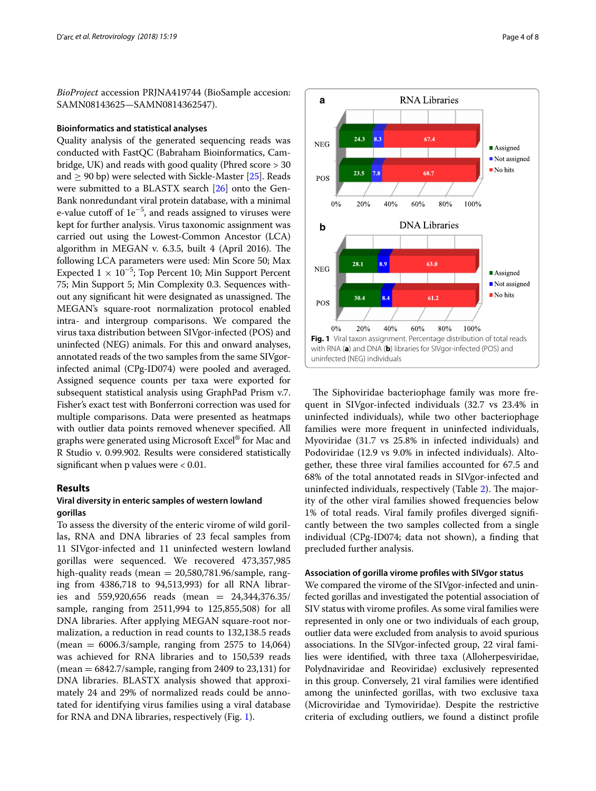*BioProject* accession PRJNA419744 (BioSample accesion: SAMN08143625—SAMN0814362547).

#### **Bioinformatics and statistical analyses**

Quality analysis of the generated sequencing reads was conducted with FastQC (Babraham Bioinformatics, Cambridge, UK) and reads with good quality (Phred score > 30 and  $> 90$  bp) were selected with Sickle-Master [\[25\]](#page-7-15). Reads were submitted to a BLASTX search [\[26](#page-7-16)] onto the Gen-Bank nonredundant viral protein database, with a minimal e-value cutoff of  $1e^{-5}$ , and reads assigned to viruses were kept for further analysis. Virus taxonomic assignment was carried out using the Lowest-Common Ancestor (LCA) algorithm in MEGAN v.  $6.3.5$ , built 4 (April 2016). The following LCA parameters were used: Min Score 50; Max Expected  $1 \times 10^{-5}$ ; Top Percent 10; Min Support Percent 75; Min Support 5; Min Complexity 0.3. Sequences without any significant hit were designated as unassigned. The MEGAN's square-root normalization protocol enabled intra- and intergroup comparisons. We compared the virus taxa distribution between SIVgor-infected (POS) and uninfected (NEG) animals. For this and onward analyses, annotated reads of the two samples from the same SIVgorinfected animal (CPg-ID074) were pooled and averaged. Assigned sequence counts per taxa were exported for subsequent statistical analysis using GraphPad Prism v.7. Fisher's exact test with Bonferroni correction was used for multiple comparisons. Data were presented as heatmaps with outlier data points removed whenever specifed. All graphs were generated using Microsoft Excel® for Mac and R Studio v. 0.99.902. Results were considered statistically significant when p values were  $< 0.01$ .

### **Results**

## **Viral diversity in enteric samples of western lowland gorillas**

To assess the diversity of the enteric virome of wild gorillas, RNA and DNA libraries of 23 fecal samples from 11 SIVgor-infected and 11 uninfected western lowland gorillas were sequenced. We recovered 473,357,985 high-quality reads (mean = 20,580,781.96/sample, ranging from 4386,718 to 94,513,993) for all RNA libraries and 559,920,656 reads (mean = 24,344,376.35/ sample, ranging from 2511,994 to 125,855,508) for all DNA libraries. After applying MEGAN square-root normalization, a reduction in read counts to 132,138.5 reads (mean  $= 6006.3$ /sample, ranging from 2575 to 14,064) was achieved for RNA libraries and to 150,539 reads  $(mean = 6842.7/sample, ranging from 2409 to 23,131) for$ DNA libraries. BLASTX analysis showed that approximately 24 and 29% of normalized reads could be annotated for identifying virus families using a viral database for RNA and DNA libraries, respectively (Fig. [1](#page-3-0)).



<span id="page-3-0"></span>The Siphoviridae bacteriophage family was more frequent in SIVgor-infected individuals (32.7 vs 23.4% in uninfected individuals), while two other bacteriophage families were more frequent in uninfected individuals, Myoviridae (31.7 vs 25.8% in infected individuals) and Podoviridae (12.9 vs 9.0% in infected individuals). Altogether, these three viral families accounted for 67.5 and 68% of the total annotated reads in SIVgor-infected and uninfected individuals, respectively (Table [2](#page-4-0)). The majority of the other viral families showed frequencies below 1% of total reads. Viral family profles diverged signifcantly between the two samples collected from a single individual (CPg-ID074; data not shown), a fnding that precluded further analysis.

## **Association of gorilla virome profles with SIVgor status**

We compared the virome of the SIVgor-infected and uninfected gorillas and investigated the potential association of SIV status with virome profles. As some viral families were represented in only one or two individuals of each group, outlier data were excluded from analysis to avoid spurious associations. In the SIVgor-infected group, 22 viral families were identifed, with three taxa (Alloherpesviridae, Polydnaviridae and Reoviridae) exclusively represented in this group. Conversely, 21 viral families were identifed among the uninfected gorillas, with two exclusive taxa (Microviridae and Tymoviridae). Despite the restrictive criteria of excluding outliers, we found a distinct profle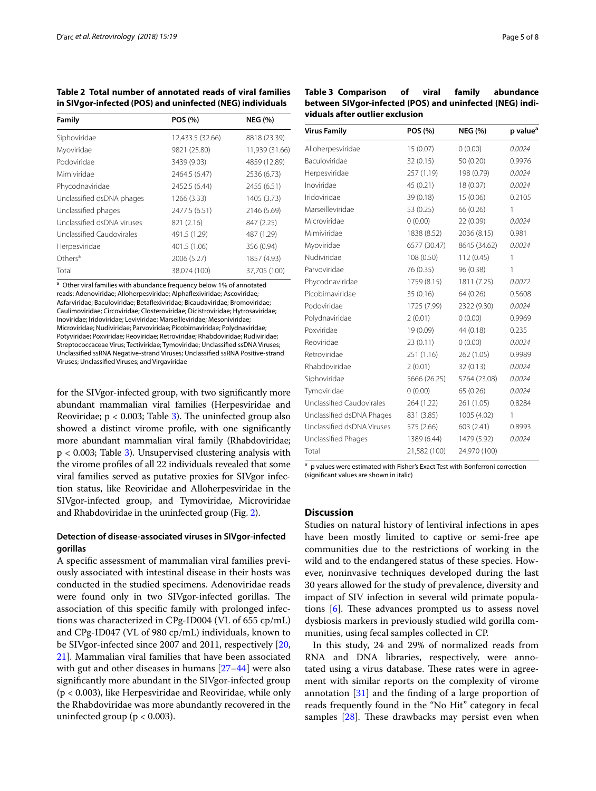<span id="page-4-0"></span>**Table 2 Total number of annotated reads of viral families in SIVgor-infected (POS) and uninfected (NEG) individuals**

| Family                     | POS (%)          | <b>NEG (%)</b> |
|----------------------------|------------------|----------------|
| Siphoviridae               | 12,433.5 (32.66) | 8818 (23.39)   |
| Myoviridae                 | 9821 (25.80)     | 11,939 (31.66) |
| Podoviridae                | 3439 (9.03)      | 4859 (12.89)   |
| Mimiviridae                | 2464.5 (6.47)    | 2536 (6.73)    |
| Phycodnaviridae            | 2452.5 (6.44)    | 2455 (6.51)    |
| Unclassified dsDNA phages  | 1266 (3.33)      | 1405 (3.73)    |
| Unclassified phages        | 2477.5 (6.51)    | 2146 (5.69)    |
| Unclassified dsDNA viruses | 821 (2.16)       | 847 (2.25)     |
| Unclassified Caudovirales  | 491.5 (1.29)     | 487 (1.29)     |
| Herpesviridae              | 401.5 (1.06)     | 356 (0.94)     |
| Others <sup>a</sup>        | 2006 (5.27)      | 1857 (4.93)    |
| Total                      | 38,074 (100)     | 37,705 (100)   |

<sup>a</sup> Other viral families with abundance frequency below 1% of annotated reads: Adenoviridae; Alloherpesviridae; Alphafexiviridae; Ascoviridae; Asfarviridae; Baculoviridae; Betafexiviridae; Bicaudaviridae; Bromoviridae; Caulimoviridae; Circoviridae; Closteroviridae; Dicistroviridae; Hytrosaviridae; Inoviridae; Iridoviridae; Leviviridae; Marseilleviridae; Mesoniviridae; Microviridae; Nudiviridae; Parvoviridae; Picobirnaviridae; Polydnaviridae; Potyviridae; Poxviridae; Reoviridae; Retroviridae; Rhabdoviridae; Rudiviridae; Streptococcaceae Virus; Tectiviridae; Tymoviridae; Unclassifed ssDNA Viruses; Unclassifed ssRNA Negative-strand Viruses; Unclassifed ssRNA Positive-strand Viruses; Unclassifed Viruses; and Virgaviridae

for the SIVgor-infected group, with two signifcantly more abundant mammalian viral families (Herpesviridae and Reoviridae;  $p < 0.003$  $p < 0.003$ ; Table 3). The uninfected group also showed a distinct virome profle, with one signifcantly more abundant mammalian viral family (Rhabdoviridae; p < 0.003; Table [3](#page-4-1)). Unsupervised clustering analysis with the virome profles of all 22 individuals revealed that some viral families served as putative proxies for SIVgor infection status, like Reoviridae and Alloherpesviridae in the SIVgor-infected group, and Tymoviridae, Microviridae and Rhabdoviridae in the uninfected group (Fig. [2](#page-5-0)).

## **Detection of disease-associated viruses in SIVgor-infected gorillas**

A specifc assessment of mammalian viral families previously associated with intestinal disease in their hosts was conducted in the studied specimens. Adenoviridae reads were found only in two SIVgor-infected gorillas. The association of this specifc family with prolonged infections was characterized in CPg-ID004 (VL of 655 cp/mL) and CPg-ID047 (VL of 980 cp/mL) individuals, known to be SIVgor-infected since 2007 and 2011, respectively [\[20](#page-7-10), [21\]](#page-7-11). Mammalian viral families that have been associated with gut and other diseases in humans [[27–](#page-7-17)[44](#page-7-18)] were also signifcantly more abundant in the SIVgor-infected group (p < 0.003), like Herpesviridae and Reoviridae, while only the Rhabdoviridae was more abundantly recovered in the uninfected group ( $p < 0.003$ ).

<span id="page-4-1"></span>

| Table 3 Comparison of                                    | viral | family abundance |
|----------------------------------------------------------|-------|------------------|
| between SIVgor-infected (POS) and uninfected (NEG) indi- |       |                  |
| viduals after outlier exclusion                          |       |                  |

| <b>Virus Family</b>        | POS (%)      | <b>NEG (%)</b> | p value <sup>a</sup> |
|----------------------------|--------------|----------------|----------------------|
| Alloherpesviridae          | 15(0.07)     | 0(0.00)        | 0.0024               |
| Baculoviridae              | 32 (0.15)    | 50 (0.20)      | 0.9976               |
| Herpesviridae              | 257 (1.19)   | 198 (0.79)     | 0.0024               |
| Inoviridae                 | 45 (0.21)    | 18 (0.07)      | 0.0024               |
| Iridoviridae               | 39 (0.18)    | 15 (0.06)      | 0.2105               |
| Marseilleviridae           | 53 (0.25)    | 66 (0.26)      | 1                    |
| Microviridae               | 0(0.00)      | 22 (0.09)      | 0.0024               |
| Mimiviridae                | 1838 (8.52)  | 2036 (8.15)    | 0.981                |
| Myoviridae                 | 6577 (30.47) | 8645 (34.62)   | 0.0024               |
| Nudiviridae                | 108 (0.50)   | 112(0.45)      | 1                    |
| Parvoviridae               | 76 (0.35)    | 96 (0.38)      | 1                    |
| Phycodnaviridae            | 1759 (8.15)  | 1811 (7.25)    | 0.0072               |
| Picobirnaviridae           | 35(0.16)     | 64 (0.26)      | 0.5608               |
| Podoviridae                | 1725 (7.99)  | 2322 (9.30)    | 0.0024               |
| Polydnaviridae             | 2(0.01)      | 0(0.00)        | 0.9969               |
| Poxviridae                 | 19 (0.09)    | 44 (0.18)      | 0.235                |
| Reoviridae                 | 23 (0.11)    | 0(0.00)        | 0.0024               |
| Retroviridae               | 251 (1.16)   | 262 (1.05)     | 0.9989               |
| Rhabdoviridae              | 2(0.01)      | 32 (0.13)      | 0.0024               |
| Siphoviridae               | 5666 (26.25) | 5764 (23.08)   | 0.0024               |
| Tymoviridae                | 0(0.00)      | 65 (0.26)      | 0.0024               |
| Unclassified Caudovirales  | 264 (1.22)   | 261 (1.05)     | 0.8284               |
| Unclassified dsDNA Phages  | 831 (3.85)   | 1005 (4.02)    | 1                    |
| Unclassified dsDNA Viruses | 575 (2.66)   | 603 (2.41)     | 0.8993               |
| Unclassified Phages        | 1389 (6.44)  | 1479 (5.92)    | 0.0024               |
| Total                      | 21,582 (100) | 24,970 (100)   |                      |

<sup>a</sup> p values were estimated with Fisher's Exact Test with Bonferroni correction (signifcant values are shown in italic)

## **Discussion**

Studies on natural history of lentiviral infections in apes have been mostly limited to captive or semi-free ape communities due to the restrictions of working in the wild and to the endangered status of these species. However, noninvasive techniques developed during the last 30 years allowed for the study of prevalence, diversity and impact of SIV infection in several wild primate populations  $[6]$  $[6]$  $[6]$ . These advances prompted us to assess novel dysbiosis markers in previously studied wild gorilla communities, using fecal samples collected in CP.

In this study, 24 and 29% of normalized reads from RNA and DNA libraries, respectively, were annotated using a virus database. These rates were in agreement with similar reports on the complexity of virome annotation [[31\]](#page-7-19) and the fnding of a large proportion of reads frequently found in the "No Hit" category in fecal samples  $[28]$  $[28]$ . These drawbacks may persist even when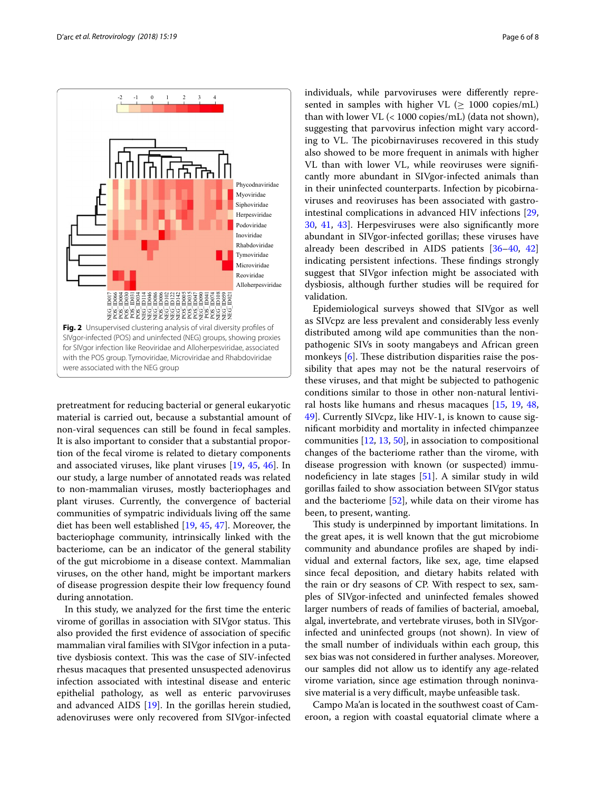



<span id="page-5-0"></span>pretreatment for reducing bacterial or general eukaryotic material is carried out, because a substantial amount of non-viral sequences can still be found in fecal samples. It is also important to consider that a substantial proportion of the fecal virome is related to dietary components and associated viruses, like plant viruses [\[19](#page-7-9), [45,](#page-7-21) [46](#page-7-22)]. In our study, a large number of annotated reads was related to non-mammalian viruses, mostly bacteriophages and plant viruses. Currently, the convergence of bacterial communities of sympatric individuals living of the same diet has been well established [[19,](#page-7-9) [45,](#page-7-21) [47\]](#page-7-23). Moreover, the bacteriophage community, intrinsically linked with the bacteriome, can be an indicator of the general stability of the gut microbiome in a disease context. Mammalian viruses, on the other hand, might be important markers of disease progression despite their low frequency found during annotation.

In this study, we analyzed for the frst time the enteric virome of gorillas in association with SIVgor status. This also provided the frst evidence of association of specifc mammalian viral families with SIVgor infection in a putative dysbiosis context. This was the case of SIV-infected rhesus macaques that presented unsuspected adenovirus infection associated with intestinal disease and enteric epithelial pathology, as well as enteric parvoviruses and advanced AIDS [\[19\]](#page-7-9). In the gorillas herein studied, adenoviruses were only recovered from SIVgor-infected individuals, while parvoviruses were diferently represented in samples with higher VL  $(> 1000 \text{ copies/mL})$ than with lower VL (< 1000 copies/mL) (data not shown), suggesting that parvovirus infection might vary according to VL. The picobirnaviruses recovered in this study also showed to be more frequent in animals with higher VL than with lower VL, while reoviruses were signifcantly more abundant in SIVgor-infected animals than in their uninfected counterparts. Infection by picobirnaviruses and reoviruses has been associated with gastrointestinal complications in advanced HIV infections [[29](#page-7-24), [30,](#page-7-25) [41,](#page-7-26) [43](#page-7-27)]. Herpesviruses were also signifcantly more abundant in SIVgor-infected gorillas; these viruses have already been described in AIDS patients [\[36](#page-7-28)[–40,](#page-7-29) [42](#page-7-30)] indicating persistent infections. These findings strongly suggest that SIVgor infection might be associated with dysbiosis, although further studies will be required for validation.

Epidemiological surveys showed that SIVgor as well as SIVcpz are less prevalent and considerably less evenly distributed among wild ape communities than the nonpathogenic SIVs in sooty mangabeys and African green monkeys  $[6]$  $[6]$ . These distribution disparities raise the possibility that apes may not be the natural reservoirs of these viruses, and that might be subjected to pathogenic conditions similar to those in other non-natural lentiviral hosts like humans and rhesus macaques [\[15,](#page-7-5) [19,](#page-7-9) [48](#page-7-31), [49\]](#page-7-32). Currently SIVcpz, like HIV-1, is known to cause signifcant morbidity and mortality in infected chimpanzee communities [[12,](#page-7-2) [13](#page-7-3), [50\]](#page-7-33), in association to compositional changes of the bacteriome rather than the virome, with disease progression with known (or suspected) immunodeficiency in late stages  $[51]$ . A similar study in wild gorillas failed to show association between SIVgor status and the bacteriome  $[52]$  $[52]$ , while data on their virome has been, to present, wanting.

This study is underpinned by important limitations. In the great apes, it is well known that the gut microbiome community and abundance profles are shaped by individual and external factors, like sex, age, time elapsed since fecal deposition, and dietary habits related with the rain or dry seasons of CP. With respect to sex, samples of SIVgor-infected and uninfected females showed larger numbers of reads of families of bacterial, amoebal, algal, invertebrate, and vertebrate viruses, both in SIVgorinfected and uninfected groups (not shown). In view of the small number of individuals within each group, this sex bias was not considered in further analyses. Moreover, our samples did not allow us to identify any age-related virome variation, since age estimation through noninvasive material is a very difficult, maybe unfeasible task.

Campo Ma'an is located in the southwest coast of Cameroon, a region with coastal equatorial climate where a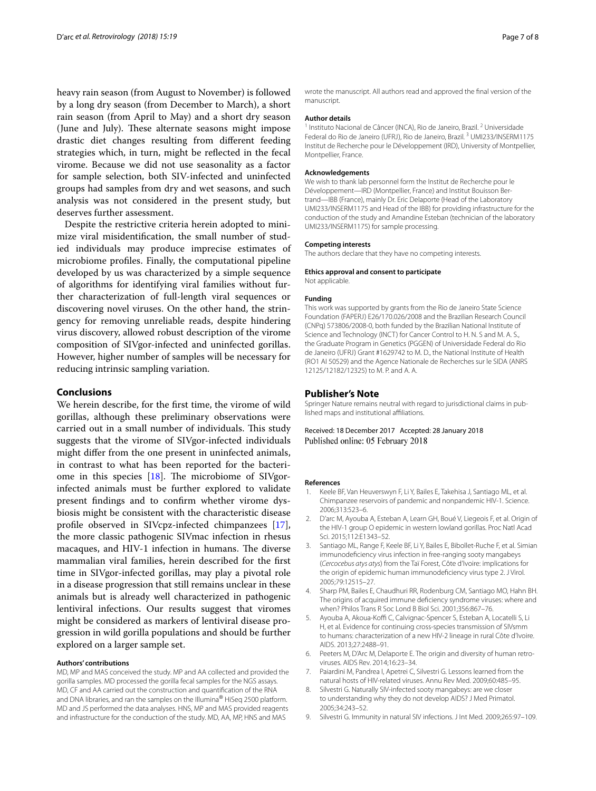heavy rain season (from August to November) is followed by a long dry season (from December to March), a short rain season (from April to May) and a short dry season (June and July). These alternate seasons might impose drastic diet changes resulting from diferent feeding strategies which, in turn, might be refected in the fecal virome. Because we did not use seasonality as a factor for sample selection, both SIV-infected and uninfected groups had samples from dry and wet seasons, and such analysis was not considered in the present study, but deserves further assessment.

Despite the restrictive criteria herein adopted to minimize viral misidentifcation, the small number of studied individuals may produce imprecise estimates of microbiome profles. Finally, the computational pipeline developed by us was characterized by a simple sequence of algorithms for identifying viral families without further characterization of full-length viral sequences or discovering novel viruses. On the other hand, the stringency for removing unreliable reads, despite hindering virus discovery, allowed robust description of the virome composition of SIVgor-infected and uninfected gorillas. However, higher number of samples will be necessary for reducing intrinsic sampling variation.

#### **Conclusions**

We herein describe, for the frst time, the virome of wild gorillas, although these preliminary observations were carried out in a small number of individuals. This study suggests that the virome of SIVgor-infected individuals might difer from the one present in uninfected animals, in contrast to what has been reported for the bacteriome in this species  $[18]$  $[18]$ . The microbiome of SIVgorinfected animals must be further explored to validate present fndings and to confrm whether virome dysbiosis might be consistent with the characteristic disease profle observed in SIVcpz-infected chimpanzees [\[17](#page-7-7)], the more classic pathogenic SIVmac infection in rhesus macaques, and HIV-1 infection in humans. The diverse mammalian viral families, herein described for the frst time in SIVgor-infected gorillas, may play a pivotal role in a disease progression that still remains unclear in these animals but is already well characterized in pathogenic lentiviral infections. Our results suggest that viromes might be considered as markers of lentiviral disease progression in wild gorilla populations and should be further explored on a larger sample set.

#### **Authors' contributions**

MD, MP and MAS conceived the study. MP and AA collected and provided the gorilla samples. MD processed the gorilla fecal samples for the NGS assays. MD, CF and AA carried out the construction and quantifcation of the RNA and DNA libraries, and ran the samples on the Illumina® HiSeq 2500 platform. MD and JS performed the data analyses. HNS, MP and MAS provided reagents and infrastructure for the conduction of the study. MD, AA, MP, HNS and MAS

wrote the manuscript. All authors read and approved the fnal version of the manuscript.

#### **Author details**

<sup>1</sup> Instituto Nacional de Câncer (INCA), Rio de Janeiro, Brazil. <sup>2</sup> Universidade Federal do Rio de Janeiro (UFRJ), Rio de Janeiro, Brazil.<sup>3</sup> UMI233/INSERM1175 Institut de Recherche pour le Développement (IRD), University of Montpellier, Montpellier, France.

#### **Acknowledgements**

We wish to thank lab personnel form the Institut de Recherche pour le Développement—IRD (Montpellier, France) and Institut Bouisson Bertrand—IBB (France), mainly Dr. Eric Delaporte (Head of the Laboratory UMI233/INSERM1175 and Head of the IBB) for providing infrastructure for the conduction of the study and Amandine Esteban (technician of the laboratory UMI233/INSERM1175) for sample processing.

#### **Competing interests**

The authors declare that they have no competing interests.

#### **Ethics approval and consent to participate**

Not applicable.

#### **Funding**

This work was supported by grants from the Rio de Janeiro State Science Foundation (FAPERJ) E26/170.026/2008 and the Brazilian Research Council (CNPq) 573806/2008-0, both funded by the Brazilian National Institute of Science and Technology (INCT) for Cancer Control to H. N. S and M. A. S., the Graduate Program in Genetics (PGGEN) of Universidade Federal do Rio de Janeiro (UFRJ) Grant #1629742 to M. D., the National Institute of Health (RO1 AI 50529) and the Agence Nationale de Recherches sur le SIDA (ANRS 12125/12182/12325) to M. P. and A. A.

#### **Publisher's Note**

Springer Nature remains neutral with regard to jurisdictional claims in published maps and institutional afliations.

#### Received: 18 December 2017 Accepted: 28 January 2018 Published online: 05 February 2018

#### **References**

- <span id="page-6-0"></span>1. Keele BF, Van Heuverswyn F, Li Y, Bailes E, Takehisa J, Santiago ML, et al. Chimpanzee reservoirs of pandemic and nonpandemic HIV-1. Science. 2006;313:523–6.
- <span id="page-6-1"></span>2. D'arc M, Ayouba A, Esteban A, Learn GH, Boué V, Liegeois F, et al. Origin of the HIV-1 group O epidemic in western lowland gorillas. Proc Natl Acad Sci. 2015;112:E1343–52.
- <span id="page-6-2"></span>3. Santiago ML, Range F, Keele BF, Li Y, Bailes E, Bibollet-Ruche F, et al. Simian immunodefciency virus infection in free-ranging sooty mangabeys (*Cercocebus atys atys*) from the Taï Forest, Côte d'Ivoire: implications for the origin of epidemic human immunodefciency virus type 2. J Virol. 2005;79:12515–27.
- 4. Sharp PM, Bailes E, Chaudhuri RR, Rodenburg CM, Santiago MO, Hahn BH. The origins of acquired immune defciency syndrome viruses: where and when? Philos Trans R Soc Lond B Biol Sci. 2001;356:867–76.
- <span id="page-6-3"></span>5. Ayouba A, Akoua-Koffi C, Calvignac-Spencer S, Esteban A, Locatelli S, Li H, et al. Evidence for continuing cross-species transmission of SIVsmm to humans: characterization of a new HIV-2 lineage in rural Côte d'Ivoire. AIDS. 2013;27:2488–91.
- <span id="page-6-4"></span>6. Peeters M, D'Arc M, Delaporte E. The origin and diversity of human retroviruses. AIDS Rev. 2014;16:23–34.
- <span id="page-6-5"></span>7. Paiardini M, Pandrea I, Apetrei C, Silvestri G. Lessons learned from the natural hosts of HIV-related viruses. Annu Rev Med. 2009;60:485–95.
- 8. Silvestri G. Naturally SIV-infected sooty mangabeys: are we closer to understanding why they do not develop AIDS? J Med Primatol. 2005;34:243–52.
- <span id="page-6-6"></span>9. Silvestri G. Immunity in natural SIV infections. J Int Med. 2009;265:97–109.